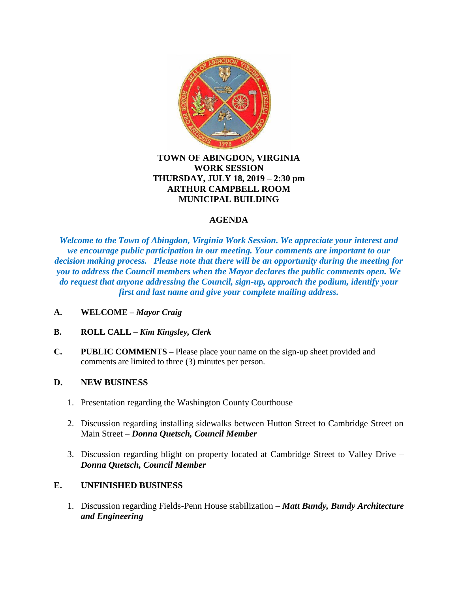

## **TOWN OF ABINGDON, VIRGINIA WORK SESSION THURSDAY, JULY 18, 2019 – 2:30 pm ARTHUR CAMPBELL ROOM MUNICIPAL BUILDING**

## **AGENDA**

*Welcome to the Town of Abingdon, Virginia Work Session. We appreciate your interest and we encourage public participation in our meeting. Your comments are important to our decision making process. Please note that there will be an opportunity during the meeting for you to address the Council members when the Mayor declares the public comments open. We do request that anyone addressing the Council, sign-up, approach the podium, identify your first and last name and give your complete mailing address.*

- **A. WELCOME –** *Mayor Craig*
- **B. ROLL CALL –** *Kim Kingsley, Clerk*
- **C. PUBLIC COMMENTS –** Please place your name on the sign-up sheet provided and comments are limited to three (3) minutes per person.

## **D. NEW BUSINESS**

- 1. Presentation regarding the Washington County Courthouse
- 2. Discussion regarding installing sidewalks between Hutton Street to Cambridge Street on Main Street – *Donna Quetsch, Council Member*
- 3. Discussion regarding blight on property located at Cambridge Street to Valley Drive *Donna Quetsch, Council Member*

## **E. UNFINISHED BUSINESS**

1. Discussion regarding Fields-Penn House stabilization – *Matt Bundy, Bundy Architecture and Engineering*